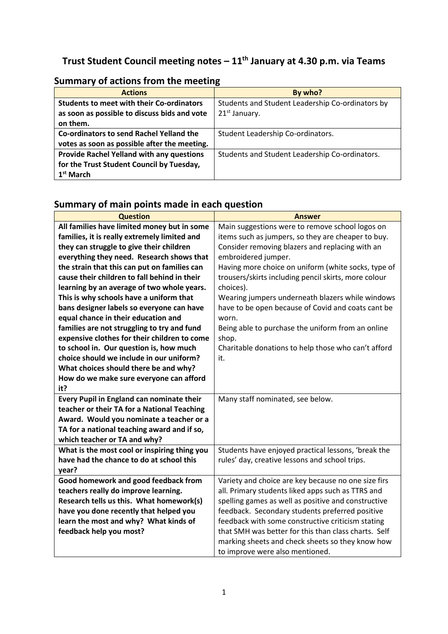# **Trust Student Council meeting notes – 11th January at 4.30 p.m. via Teams**

| <b>Actions</b>                                   | By who?                                          |
|--------------------------------------------------|--------------------------------------------------|
| <b>Students to meet with their Co-ordinators</b> | Students and Student Leadership Co-ordinators by |
| as soon as possible to discuss bids and vote     | 21 <sup>st</sup> January.                        |
| on them.                                         |                                                  |
| Co-ordinators to send Rachel Yelland the         | Student Leadership Co-ordinators.                |
| votes as soon as possible after the meeting.     |                                                  |
| Provide Rachel Yelland with any questions        | Students and Student Leadership Co-ordinators.   |
| for the Trust Student Council by Tuesday,        |                                                  |
| 1 <sup>st</sup> March                            |                                                  |

## **Summary of actions from the meeting**

# **Summary of main points made in each question**

| <b>Question</b>                              | <b>Answer</b>                                        |
|----------------------------------------------|------------------------------------------------------|
| All families have limited money but in some  | Main suggestions were to remove school logos on      |
| families, it is really extremely limited and | items such as jumpers, so they are cheaper to buy.   |
| they can struggle to give their children     | Consider removing blazers and replacing with an      |
| everything they need. Research shows that    | embroidered jumper.                                  |
| the strain that this can put on families can | Having more choice on uniform (white socks, type of  |
| cause their children to fall behind in their | trousers/skirts including pencil skirts, more colour |
| learning by an average of two whole years.   | choices).                                            |
| This is why schools have a uniform that      | Wearing jumpers underneath blazers while windows     |
| bans designer labels so everyone can have    | have to be open because of Covid and coats cant be   |
| equal chance in their education and          | worn.                                                |
| families are not struggling to try and fund  | Being able to purchase the uniform from an online    |
| expensive clothes for their children to come | shop.                                                |
| to school in. Our question is, how much      | Charitable donations to help those who can't afford  |
| choice should we include in our uniform?     | it.                                                  |
| What choices should there be and why?        |                                                      |
| How do we make sure everyone can afford      |                                                      |
| it?                                          |                                                      |
| Every Pupil in England can nominate their    | Many staff nominated, see below.                     |
| teacher or their TA for a National Teaching  |                                                      |
| Award. Would you nominate a teacher or a     |                                                      |
| TA for a national teaching award and if so,  |                                                      |
| which teacher or TA and why?                 |                                                      |
| What is the most cool or inspiring thing you | Students have enjoyed practical lessons, 'break the  |
| have had the chance to do at school this     | rules' day, creative lessons and school trips.       |
| year?                                        |                                                      |
| Good homework and good feedback from         | Variety and choice are key because no one size firs  |
| teachers really do improve learning.         | all. Primary students liked apps such as TTRS and    |
| Research tells us this. What homework(s)     | spelling games as well as positive and constructive  |
| have you done recently that helped you       | feedback. Secondary students preferred positive      |
| learn the most and why? What kinds of        | feedback with some constructive criticism stating    |
| feedback help you most?                      | that SMH was better for this than class charts. Self |
|                                              | marking sheets and check sheets so they know how     |
|                                              | to improve were also mentioned.                      |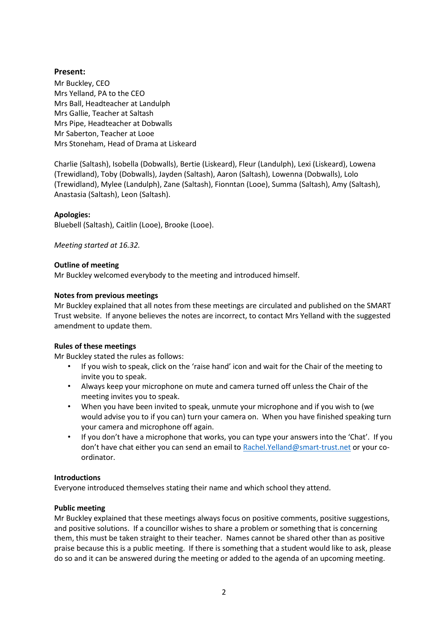## **Present:**

Mr Buckley, CEO Mrs Yelland, PA to the CEO Mrs Ball, Headteacher at Landulph Mrs Gallie, Teacher at Saltash Mrs Pipe, Headteacher at Dobwalls Mr Saberton, Teacher at Looe Mrs Stoneham, Head of Drama at Liskeard

Charlie (Saltash), Isobella (Dobwalls), Bertie (Liskeard), Fleur (Landulph), Lexi (Liskeard), Lowena (Trewidland), Toby (Dobwalls), Jayden (Saltash), Aaron (Saltash), Lowenna (Dobwalls), Lolo (Trewidland), Mylee (Landulph), Zane (Saltash), Fionntan (Looe), Summa (Saltash), Amy (Saltash), Anastasia (Saltash), Leon (Saltash).

## **Apologies:**

Bluebell (Saltash), Caitlin (Looe), Brooke (Looe).

*Meeting started at 16.32.*

## **Outline of meeting**

Mr Buckley welcomed everybody to the meeting and introduced himself.

## **Notes from previous meetings**

Mr Buckley explained that all notes from these meetings are circulated and published on the SMART Trust website. If anyone believes the notes are incorrect, to contact Mrs Yelland with the suggested amendment to update them.

## **Rules of these meetings**

Mr Buckley stated the rules as follows:

- If you wish to speak, click on the 'raise hand' icon and wait for the Chair of the meeting to invite you to speak.
- Always keep your microphone on mute and camera turned off unless the Chair of the meeting invites you to speak.
- When you have been invited to speak, unmute your microphone and if you wish to (we would advise you to if you can) turn your camera on. When you have finished speaking turn your camera and microphone off again.
- If you don't have a microphone that works, you can type your answers into the 'Chat'. If you don't have chat either you can send an email to [Rachel.Yelland@smart-trust.net](mailto:Rachel.Yelland@smart-trust.net) or your coordinator.

### **Introductions**

Everyone introduced themselves stating their name and which school they attend.

### **Public meeting**

Mr Buckley explained that these meetings always focus on positive comments, positive suggestions, and positive solutions. If a councillor wishes to share a problem or something that is concerning them, this must be taken straight to their teacher. Names cannot be shared other than as positive praise because this is a public meeting. If there is something that a student would like to ask, please do so and it can be answered during the meeting or added to the agenda of an upcoming meeting.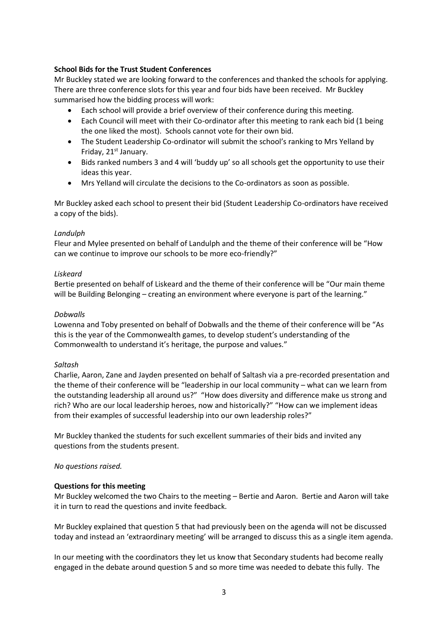## **School Bids for the Trust Student Conferences**

Mr Buckley stated we are looking forward to the conferences and thanked the schools for applying. There are three conference slots for this year and four bids have been received. Mr Buckley summarised how the bidding process will work:

- Each school will provide a brief overview of their conference during this meeting.
- Each Council will meet with their Co-ordinator after this meeting to rank each bid (1 being the one liked the most). Schools cannot vote for their own bid.
- The Student Leadership Co-ordinator will submit the school's ranking to Mrs Yelland by Friday, 21<sup>st</sup> January.
- Bids ranked numbers 3 and 4 will 'buddy up' so all schools get the opportunity to use their ideas this year.
- Mrs Yelland will circulate the decisions to the Co-ordinators as soon as possible.

Mr Buckley asked each school to present their bid (Student Leadership Co-ordinators have received a copy of the bids).

### *Landulph*

Fleur and Mylee presented on behalf of Landulph and the theme of their conference will be "How can we continue to improve our schools to be more eco-friendly?"

## *Liskeard*

Bertie presented on behalf of Liskeard and the theme of their conference will be "Our main theme will be Building Belonging – creating an environment where everyone is part of the learning."

## *Dobwalls*

Lowenna and Toby presented on behalf of Dobwalls and the theme of their conference will be "As this is the year of the Commonwealth games, to develop student's understanding of the Commonwealth to understand it's heritage, the purpose and values."

### *Saltash*

Charlie, Aaron, Zane and Jayden presented on behalf of Saltash via a pre-recorded presentation and the theme of their conference will be "leadership in our local community – what can we learn from the outstanding leadership all around us?" "How does diversity and difference make us strong and rich? Who are our local leadership heroes, now and historically?" "How can we implement ideas from their examples of successful leadership into our own leadership roles?"

Mr Buckley thanked the students for such excellent summaries of their bids and invited any questions from the students present.

### *No questions raised.*

### **Questions for this meeting**

Mr Buckley welcomed the two Chairs to the meeting – Bertie and Aaron. Bertie and Aaron will take it in turn to read the questions and invite feedback.

Mr Buckley explained that question 5 that had previously been on the agenda will not be discussed today and instead an 'extraordinary meeting' will be arranged to discuss this as a single item agenda.

In our meeting with the coordinators they let us know that Secondary students had become really engaged in the debate around question 5 and so more time was needed to debate this fully. The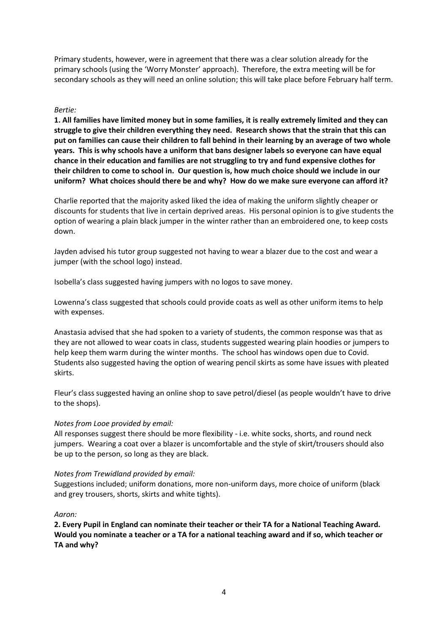Primary students, however, were in agreement that there was a clear solution already for the primary schools (using the 'Worry Monster' approach). Therefore, the extra meeting will be for secondary schools as they will need an online solution; this will take place before February half term.

#### *Bertie:*

**1. All families have limited money but in some families, it is really extremely limited and they can struggle to give their children everything they need. Research shows that the strain that this can put on families can cause their children to fall behind in their learning by an average of two whole years. This is why schools have a uniform that bans designer labels so everyone can have equal chance in their education and families are not struggling to try and fund expensive clothes for their children to come to school in. Our question is, how much choice should we include in our uniform? What choices should there be and why? How do we make sure everyone can afford it?**

Charlie reported that the majority asked liked the idea of making the uniform slightly cheaper or discounts for students that live in certain deprived areas. His personal opinion is to give students the option of wearing a plain black jumper in the winter rather than an embroidered one, to keep costs down.

Jayden advised his tutor group suggested not having to wear a blazer due to the cost and wear a jumper (with the school logo) instead.

Isobella's class suggested having jumpers with no logos to save money.

Lowenna's class suggested that schools could provide coats as well as other uniform items to help with expenses.

Anastasia advised that she had spoken to a variety of students, the common response was that as they are not allowed to wear coats in class, students suggested wearing plain hoodies or jumpers to help keep them warm during the winter months. The school has windows open due to Covid. Students also suggested having the option of wearing pencil skirts as some have issues with pleated skirts.

Fleur's class suggested having an online shop to save petrol/diesel (as people wouldn't have to drive to the shops).

#### *Notes from Looe provided by email:*

All responses suggest there should be more flexibility - i.e. white socks, shorts, and round neck jumpers. Wearing a coat over a blazer is uncomfortable and the style of skirt/trousers should also be up to the person, so long as they are black.

#### *Notes from Trewidland provided by email:*

Suggestions included; uniform donations, more non-uniform days, more choice of uniform (black and grey trousers, shorts, skirts and white tights).

#### *Aaron:*

**2. Every Pupil in England can nominate their teacher or their TA for a National Teaching Award. Would you nominate a teacher or a TA for a national teaching award and if so, which teacher or TA and why?**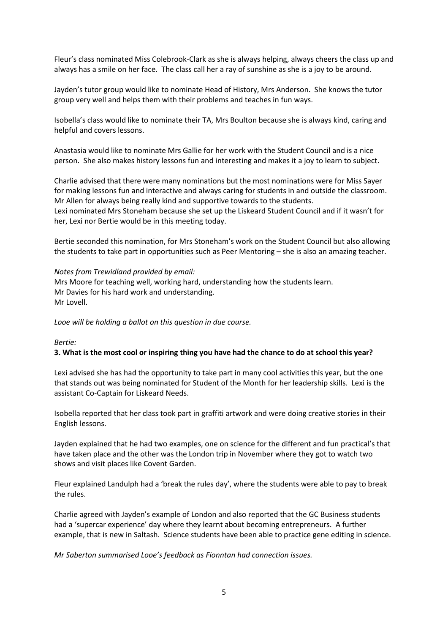Fleur's class nominated Miss Colebrook-Clark as she is always helping, always cheers the class up and always has a smile on her face. The class call her a ray of sunshine as she is a joy to be around.

Jayden's tutor group would like to nominate Head of History, Mrs Anderson. She knows the tutor group very well and helps them with their problems and teaches in fun ways.

Isobella's class would like to nominate their TA, Mrs Boulton because she is always kind, caring and helpful and covers lessons.

Anastasia would like to nominate Mrs Gallie for her work with the Student Council and is a nice person. She also makes history lessons fun and interesting and makes it a joy to learn to subject.

Charlie advised that there were many nominations but the most nominations were for Miss Sayer for making lessons fun and interactive and always caring for students in and outside the classroom. Mr Allen for always being really kind and supportive towards to the students. Lexi nominated Mrs Stoneham because she set up the Liskeard Student Council and if it wasn't for her, Lexi nor Bertie would be in this meeting today.

Bertie seconded this nomination, for Mrs Stoneham's work on the Student Council but also allowing the students to take part in opportunities such as Peer Mentoring – she is also an amazing teacher.

#### *Notes from Trewidland provided by email:*

Mrs Moore for teaching well, working hard, understanding how the students learn. Mr Davies for his hard work and understanding. Mr Lovell.

*Looe will be holding a ballot on this question in due course.*

#### *Bertie:*

### **3. What is the most cool or inspiring thing you have had the chance to do at school this year?**

Lexi advised she has had the opportunity to take part in many cool activities this year, but the one that stands out was being nominated for Student of the Month for her leadership skills. Lexi is the assistant Co-Captain for Liskeard Needs.

Isobella reported that her class took part in graffiti artwork and were doing creative stories in their English lessons.

Jayden explained that he had two examples, one on science for the different and fun practical's that have taken place and the other was the London trip in November where they got to watch two shows and visit places like Covent Garden.

Fleur explained Landulph had a 'break the rules day', where the students were able to pay to break the rules.

Charlie agreed with Jayden's example of London and also reported that the GC Business students had a 'supercar experience' day where they learnt about becoming entrepreneurs. A further example, that is new in Saltash. Science students have been able to practice gene editing in science.

*Mr Saberton summarised Looe's feedback as Fionntan had connection issues.*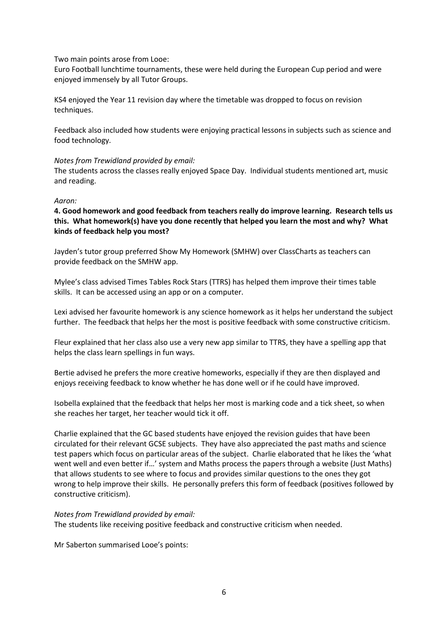Two main points arose from Looe:

Euro Football lunchtime tournaments, these were held during the European Cup period and were enjoyed immensely by all Tutor Groups.

KS4 enjoyed the Year 11 revision day where the timetable was dropped to focus on revision techniques.

Feedback also included how students were enjoying practical lessons in subjects such as science and food technology.

#### *Notes from Trewidland provided by email:*

The students across the classes really enjoyed Space Day. Individual students mentioned art, music and reading.

#### *Aaron:*

**4. Good homework and good feedback from teachers really do improve learning. Research tells us this. What homework(s) have you done recently that helped you learn the most and why? What kinds of feedback help you most?**

Jayden's tutor group preferred Show My Homework (SMHW) over ClassCharts as teachers can provide feedback on the SMHW app.

Mylee's class advised Times Tables Rock Stars (TTRS) has helped them improve their times table skills. It can be accessed using an app or on a computer.

Lexi advised her favourite homework is any science homework as it helps her understand the subject further. The feedback that helps her the most is positive feedback with some constructive criticism.

Fleur explained that her class also use a very new app similar to TTRS, they have a spelling app that helps the class learn spellings in fun ways.

Bertie advised he prefers the more creative homeworks, especially if they are then displayed and enjoys receiving feedback to know whether he has done well or if he could have improved.

Isobella explained that the feedback that helps her most is marking code and a tick sheet, so when she reaches her target, her teacher would tick it off.

Charlie explained that the GC based students have enjoyed the revision guides that have been circulated for their relevant GCSE subjects. They have also appreciated the past maths and science test papers which focus on particular areas of the subject. Charlie elaborated that he likes the 'what went well and even better if…' system and Maths process the papers through a website (Just Maths) that allows students to see where to focus and provides similar questions to the ones they got wrong to help improve their skills. He personally prefers this form of feedback (positives followed by constructive criticism).

### *Notes from Trewidland provided by email:*

The students like receiving positive feedback and constructive criticism when needed.

Mr Saberton summarised Looe's points: